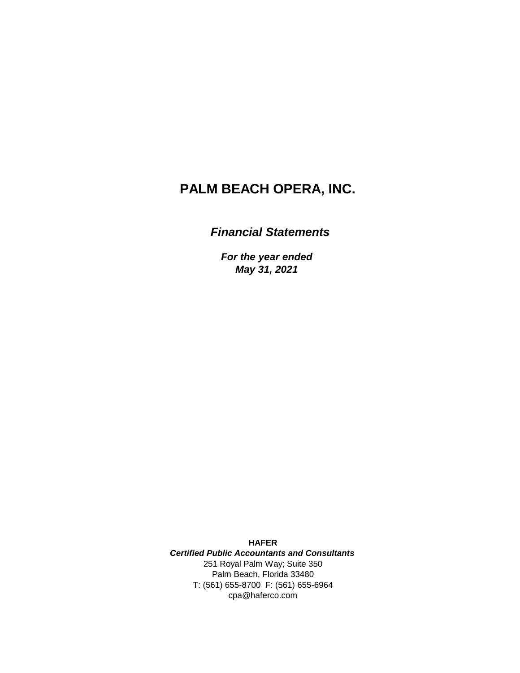# **PALM BEACH OPERA, INC.**

## *Financial Statements*

*For the year ended May 31, 2021*

Palm Beach, Florida 33480 T: (561) 655-8700 F: (561) 655-6964 cpa@haferco.com **HAFER** *Certified Public Accountants and Consultants* 251 Royal Palm Way; Suite 350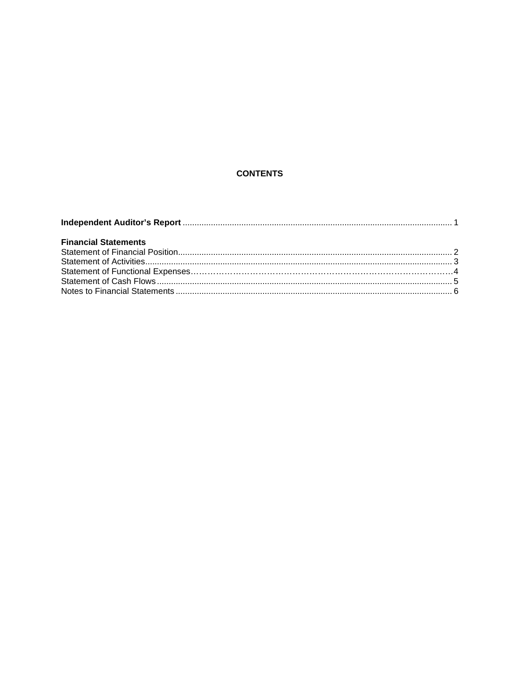## **CONTENTS**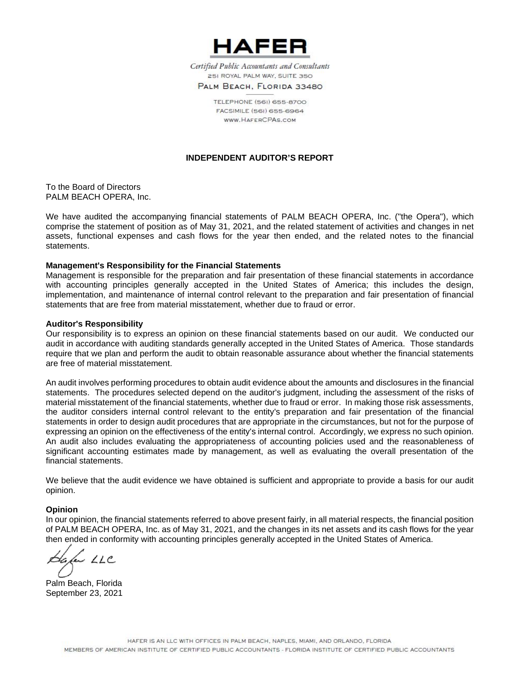

Certified Public Accountants and Consultants 251 ROYAL PALM WAY, SUITE 350

PALM BEACH, FLORIDA 33480

TELEPHONE (561) 655-8700 FACSIMILE (56I) 655-6964 WWW. HAFFRCPAS.COM

## **INDEPENDENT AUDITOR'S REPORT**

To the Board of Directors PALM BEACH OPERA, Inc.

We have audited the accompanying financial statements of PALM BEACH OPERA, Inc. ("the Opera"), which comprise the statement of position as of May 31, 2021, and the related statement of activities and changes in net assets, functional expenses and cash flows for the year then ended, and the related notes to the financial statements.

#### **Management's Responsibility for the Financial Statements**

Management is responsible for the preparation and fair presentation of these financial statements in accordance with accounting principles generally accepted in the United States of America; this includes the design, implementation, and maintenance of internal control relevant to the preparation and fair presentation of financial statements that are free from material misstatement, whether due to fraud or error.

#### **Auditor's Responsibility**

Our responsibility is to express an opinion on these financial statements based on our audit. We conducted our audit in accordance with auditing standards generally accepted in the United States of America. Those standards require that we plan and perform the audit to obtain reasonable assurance about whether the financial statements are free of material misstatement.

An audit involves performing procedures to obtain audit evidence about the amounts and disclosures in the financial statements. The procedures selected depend on the auditor's judgment, including the assessment of the risks of material misstatement of the financial statements, whether due to fraud or error. In making those risk assessments, the auditor considers internal control relevant to the entity's preparation and fair presentation of the financial statements in order to design audit procedures that are appropriate in the circumstances, but not for the purpose of expressing an opinion on the effectiveness of the entity's internal control. Accordingly, we express no such opinion. An audit also includes evaluating the appropriateness of accounting policies used and the reasonableness of significant accounting estimates made by management, as well as evaluating the overall presentation of the financial statements.

We believe that the audit evidence we have obtained is sufficient and appropriate to provide a basis for our audit opinion.

#### **Opinion**

In our opinion, the financial statements referred to above present fairly, in all material respects, the financial position of PALM BEACH OPERA, Inc. as of May 31, 2021, and the changes in its net assets and its cash flows for the year then ended in conformity with accounting principles generally accepted in the United States of America.

a LLC

Palm Beach, Florida September 23, 2021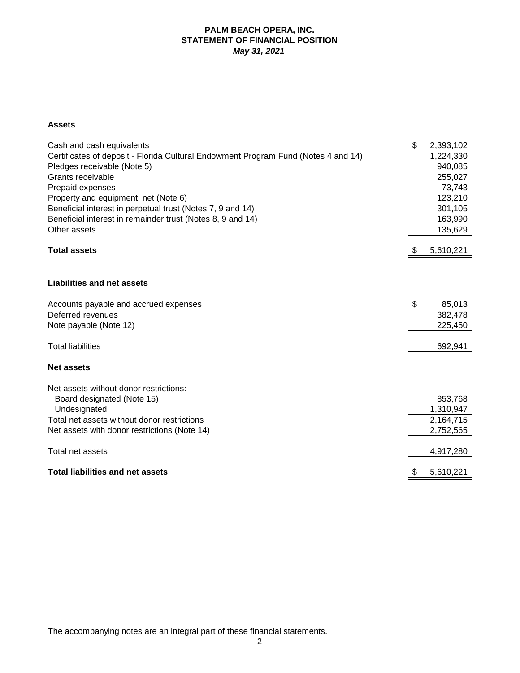## **PALM BEACH OPERA, INC. STATEMENT OF FINANCIAL POSITION** *May 31, 2021*

## **Assets**

| Cash and cash equivalents<br>Certificates of deposit - Florida Cultural Endowment Program Fund (Notes 4 and 14)<br>Pledges receivable (Note 5)<br>Grants receivable<br>Prepaid expenses<br>Property and equipment, net (Note 6)<br>Beneficial interest in perpetual trust (Notes 7, 9 and 14)<br>Beneficial interest in remainder trust (Notes 8, 9 and 14)<br>Other assets | \$ | 2,393,102<br>1,224,330<br>940,085<br>255,027<br>73,743<br>123,210<br>301,105<br>163,990<br>135,629 |
|-----------------------------------------------------------------------------------------------------------------------------------------------------------------------------------------------------------------------------------------------------------------------------------------------------------------------------------------------------------------------------|----|----------------------------------------------------------------------------------------------------|
| <b>Total assets</b>                                                                                                                                                                                                                                                                                                                                                         | P  | 5,610,221                                                                                          |
| <b>Liabilities and net assets</b>                                                                                                                                                                                                                                                                                                                                           |    |                                                                                                    |
| Accounts payable and accrued expenses<br>Deferred revenues<br>Note payable (Note 12)                                                                                                                                                                                                                                                                                        | \$ | 85,013<br>382,478<br>225,450                                                                       |
| <b>Total liabilities</b>                                                                                                                                                                                                                                                                                                                                                    |    | 692,941                                                                                            |
| <b>Net assets</b>                                                                                                                                                                                                                                                                                                                                                           |    |                                                                                                    |
| Net assets without donor restrictions:<br>Board designated (Note 15)<br>Undesignated                                                                                                                                                                                                                                                                                        |    | 853,768<br>1,310,947                                                                               |
| Total net assets without donor restrictions<br>Net assets with donor restrictions (Note 14)                                                                                                                                                                                                                                                                                 |    | 2,164,715<br>2,752,565                                                                             |
|                                                                                                                                                                                                                                                                                                                                                                             |    |                                                                                                    |
| Total net assets                                                                                                                                                                                                                                                                                                                                                            |    | 4,917,280                                                                                          |
| <b>Total liabilities and net assets</b>                                                                                                                                                                                                                                                                                                                                     | \$ | 5,610,221                                                                                          |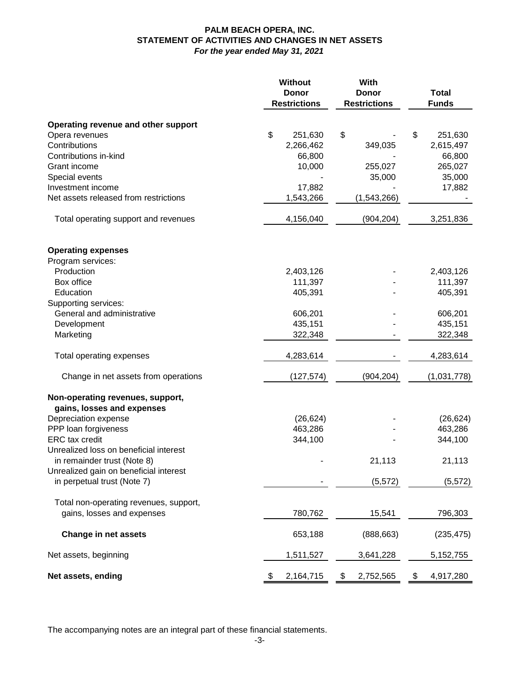## **PALM BEACH OPERA, INC. STATEMENT OF ACTIVITIES AND CHANGES IN NET ASSETS** *For the year ended May 31, 2021*

|                                                                | Without             | With                |                 |
|----------------------------------------------------------------|---------------------|---------------------|-----------------|
|                                                                | <b>Donor</b>        | <b>Donor</b>        | <b>Total</b>    |
|                                                                | <b>Restrictions</b> | <b>Restrictions</b> | <b>Funds</b>    |
| Operating revenue and other support                            |                     |                     |                 |
| Opera revenues                                                 | \$<br>251,630       | \$                  | \$<br>251,630   |
| Contributions                                                  | 2,266,462           | 349,035             | 2,615,497       |
| Contributions in-kind                                          | 66,800              |                     | 66,800          |
| Grant income                                                   | 10,000              | 255,027             | 265,027         |
| Special events                                                 |                     | 35,000              | 35,000          |
| Investment income                                              | 17,882              |                     | 17,882          |
| Net assets released from restrictions                          | 1,543,266           | (1,543,266)         |                 |
| Total operating support and revenues                           | 4,156,040           | (904, 204)          | 3,251,836       |
| <b>Operating expenses</b>                                      |                     |                     |                 |
| Program services:                                              |                     |                     |                 |
| Production                                                     | 2,403,126           |                     | 2,403,126       |
| Box office                                                     | 111,397             |                     | 111,397         |
| Education                                                      | 405,391             |                     | 405,391         |
| Supporting services:                                           |                     |                     |                 |
| General and administrative                                     | 606,201             |                     | 606,201         |
| Development                                                    | 435,151             |                     | 435,151         |
| Marketing                                                      | 322,348             |                     | 322,348         |
| Total operating expenses                                       | 4,283,614           |                     | 4,283,614       |
| Change in net assets from operations                           | (127, 574)          | (904, 204)          | (1,031,778)     |
| Non-operating revenues, support,<br>gains, losses and expenses |                     |                     |                 |
| Depreciation expense                                           | (26, 624)           |                     | (26, 624)       |
| PPP loan forgiveness                                           | 463,286             |                     | 463,286         |
| <b>ERC</b> tax credit                                          | 344,100             |                     | 344,100         |
| Unrealized loss on beneficial interest                         |                     |                     |                 |
| in remainder trust (Note 8)                                    |                     | 21,113              | 21,113          |
| Unrealized gain on beneficial interest                         |                     |                     |                 |
| in perpetual trust (Note 7)                                    |                     | (5, 572)            | (5, 572)        |
| Total non-operating revenues, support,                         |                     |                     |                 |
| gains, losses and expenses                                     | 780,762             | 15,541              | 796,303         |
| <b>Change in net assets</b>                                    | 653,188             | (888, 663)          | (235, 475)      |
| Net assets, beginning                                          | 1,511,527           | 3,641,228           | 5, 152, 755     |
| Net assets, ending                                             | 2,164,715<br>\$     | \$<br>2,752,565     | \$<br>4,917,280 |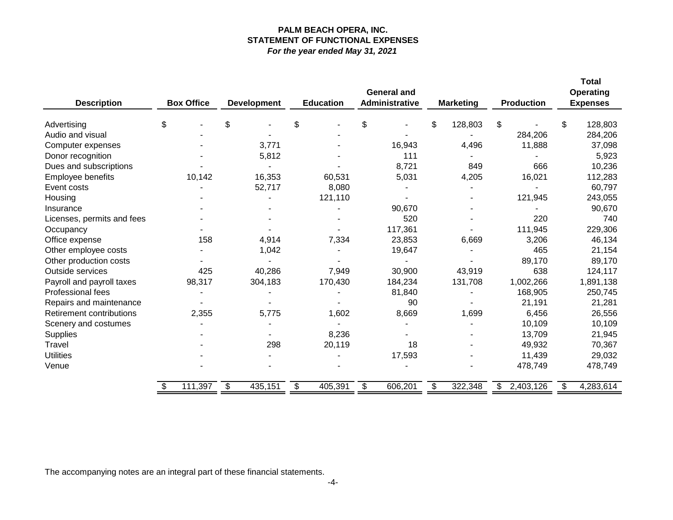## **PALM BEACH OPERA, INC. STATEMENT OF FUNCTIONAL EXPENSES** *For the year ended May 31, 2021*

| <b>Description</b>         | <b>Box Office</b> | <b>Development</b> | <b>Education</b> | <b>General and</b><br>Administrative | <b>Marketing</b> | <b>Production</b>          | <b>Total</b><br>Operating<br><b>Expenses</b> |
|----------------------------|-------------------|--------------------|------------------|--------------------------------------|------------------|----------------------------|----------------------------------------------|
| Advertising                | \$                | \$                 | \$               | \$                                   | \$<br>128,803    | \$                         | \$<br>128,803                                |
| Audio and visual           |                   |                    |                  |                                      |                  | 284,206                    | 284,206                                      |
| Computer expenses          |                   | 3,771              |                  | 16,943                               | 4,496            | 11,888                     | 37,098                                       |
| Donor recognition          |                   | 5,812              |                  | 111                                  |                  |                            | 5,923                                        |
| Dues and subscriptions     |                   |                    |                  | 8,721                                | 849              | 666                        | 10,236                                       |
| Employee benefits          | 10,142            | 16,353             | 60,531           | 5,031                                | 4,205            | 16,021                     | 112,283                                      |
| Event costs                |                   | 52,717             | 8,080            |                                      |                  |                            | 60,797                                       |
| Housing                    |                   |                    | 121,110          | ۰                                    |                  | 121,945                    | 243,055                                      |
| Insurance                  |                   |                    |                  | 90,670                               |                  |                            | 90,670                                       |
| Licenses, permits and fees |                   |                    |                  | 520                                  |                  | 220                        | 740                                          |
| Occupancy                  |                   |                    |                  | 117,361                              |                  | 111,945                    | 229,306                                      |
| Office expense             | 158               | 4,914              | 7,334            | 23,853                               | 6,669            | 3,206                      | 46,134                                       |
| Other employee costs       |                   | 1,042              |                  | 19,647                               |                  | 465                        | 21,154                                       |
| Other production costs     |                   |                    |                  |                                      |                  | 89,170                     | 89,170                                       |
| Outside services           | 425               | 40,286             | 7,949            | 30,900                               | 43,919           | 638                        | 124,117                                      |
| Payroll and payroll taxes  | 98,317            | 304,183            | 170,430          | 184,234                              | 131,708          | 1,002,266                  | 1,891,138                                    |
| Professional fees          |                   |                    |                  | 81,840                               |                  | 168,905                    | 250,745                                      |
| Repairs and maintenance    |                   |                    |                  | 90                                   |                  | 21,191                     | 21,281                                       |
| Retirement contributions   | 2,355             | 5,775              | 1,602            | 8,669                                | 1,699            | 6,456                      | 26,556                                       |
| Scenery and costumes       |                   |                    |                  |                                      |                  | 10,109                     | 10,109                                       |
| Supplies                   |                   |                    | 8,236            |                                      |                  | 13,709                     | 21,945                                       |
| Travel                     |                   | 298                | 20,119           | 18                                   |                  | 49,932                     | 70,367                                       |
| <b>Utilities</b>           |                   |                    |                  | 17,593                               |                  | 11,439                     | 29,032                                       |
| Venue                      |                   |                    |                  |                                      |                  | 478,749                    | 478,749                                      |
|                            | 111,397<br>\$     | \$<br>435,151      | \$<br>405,391    | \$<br>606,201                        | \$<br>322,348    | $\mathsf{\$}$<br>2,403,126 | 4,283,614<br>\$                              |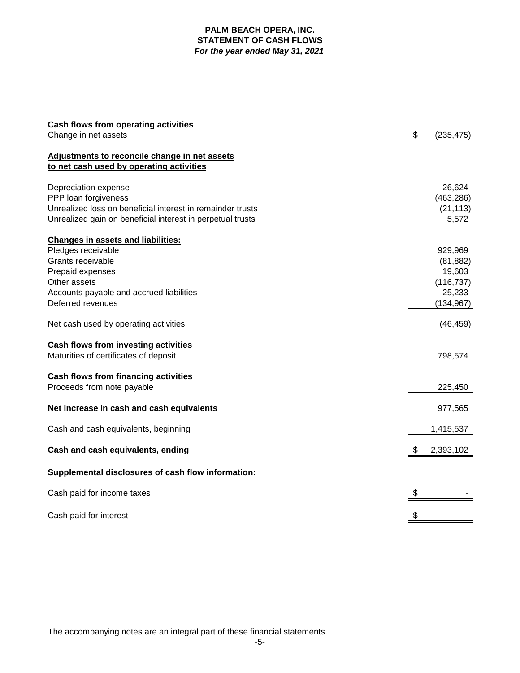## **PALM BEACH OPERA, INC. STATEMENT OF CASH FLOWS** *For the year ended May 31, 2021*

| Cash flows from operating activities                       |                  |
|------------------------------------------------------------|------------------|
| Change in net assets                                       | \$<br>(235, 475) |
| Adjustments to reconcile change in net assets              |                  |
| to net cash used by operating activities                   |                  |
| Depreciation expense                                       | 26,624           |
| PPP loan forgiveness                                       | (463, 286)       |
| Unrealized loss on beneficial interest in remainder trusts | (21, 113)        |
| Unrealized gain on beneficial interest in perpetual trusts | 5,572            |
| <b>Changes in assets and liabilities:</b>                  |                  |
| Pledges receivable                                         | 929,969          |
| Grants receivable                                          | (81, 882)        |
| Prepaid expenses                                           | 19,603           |
| Other assets                                               | (116, 737)       |
| Accounts payable and accrued liabilities                   | 25,233           |
| Deferred revenues                                          | (134, 967)       |
| Net cash used by operating activities                      | (46, 459)        |
| Cash flows from investing activities                       |                  |
| Maturities of certificates of deposit                      | 798,574          |
| Cash flows from financing activities                       |                  |
| Proceeds from note payable                                 | 225,450          |
| Net increase in cash and cash equivalents                  | 977,565          |
| Cash and cash equivalents, beginning                       | 1,415,537        |
| Cash and cash equivalents, ending                          | 2,393,102        |
| Supplemental disclosures of cash flow information:         |                  |
| Cash paid for income taxes                                 | \$               |
| Cash paid for interest                                     | \$               |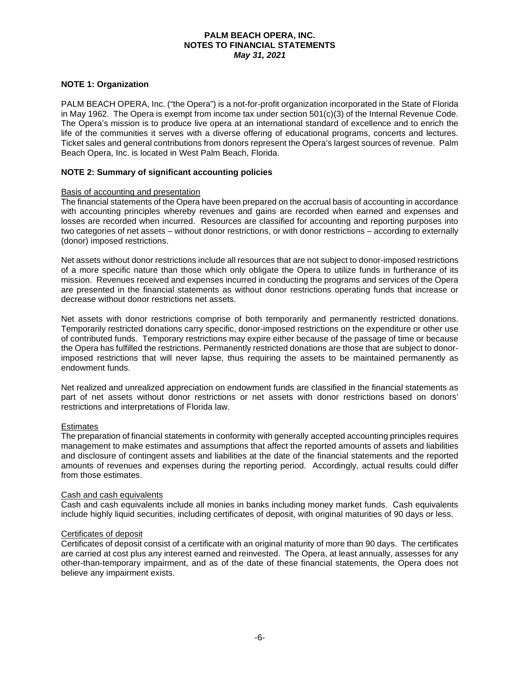## **NOTE 1: Organization**

PALM BEACH OPERA, Inc. ("the Opera") is a not-for-profit organization incorporated in the State of Florida in May 1962. The Opera is exempt from income tax under section 501(c)(3) of the Internal Revenue Code. The Opera's mission is to produce live opera at an international standard of excellence and to enrich the life of the communities it serves with a diverse offering of educational programs, concerts and lectures. Ticket sales and general contributions from donors represent the Opera's largest sources of revenue. Palm Beach Opera, Inc. is located in West Palm Beach, Florida.

#### **NOTE 2: Summary of significant accounting policies**

#### Basis of accounting and presentation

The financial statements of the Opera have been prepared on the accrual basis of accounting in accordance with accounting principles whereby revenues and gains are recorded when earned and expenses and losses are recorded when incurred. Resources are classified for accounting and reporting purposes into two categories of net assets – without donor restrictions, or with donor restrictions – according to externally (donor) imposed restrictions.

Net assets without donor restrictions include all resources that are not subject to donor-imposed restrictions of a more specific nature than those which only obligate the Opera to utilize funds in furtherance of its mission. Revenues received and expenses incurred in conducting the programs and services of the Opera are presented in the financial statements as without donor restrictions operating funds that increase or decrease without donor restrictions net assets.

Net assets with donor restrictions comprise of both temporarily and permanently restricted donations. Temporarily restricted donations carry specific, donor-imposed restrictions on the expenditure or other use of contributed funds. Temporary restrictions may expire either because of the passage of time or because the Opera has fulfilled the restrictions. Permanently restricted donations are those that are subject to donorimposed restrictions that will never lapse, thus requiring the assets to be maintained permanently as endowment funds.

Net realized and unrealized appreciation on endowment funds are classified in the financial statements as part of net assets without donor restrictions or net assets with donor restrictions based on donors' restrictions and interpretations of Florida law.

#### **Estimates**

The preparation of financial statements in conformity with generally accepted accounting principles requires management to make estimates and assumptions that affect the reported amounts of assets and liabilities and disclosure of contingent assets and liabilities at the date of the financial statements and the reported amounts of revenues and expenses during the reporting period. Accordingly, actual results could differ from those estimates.

#### Cash and cash equivalents

Cash and cash equivalents include all monies in banks including money market funds. Cash equivalents include highly liquid securities, including certificates of deposit, with original maturities of 90 days or less.

#### Certificates of deposit

Certificates of deposit consist of a certificate with an original maturity of more than 90 days. The certificates are carried at cost plus any interest earned and reinvested. The Opera, at least annually, assesses for any other-than-temporary impairment, and as of the date of these financial statements, the Opera does not believe any impairment exists.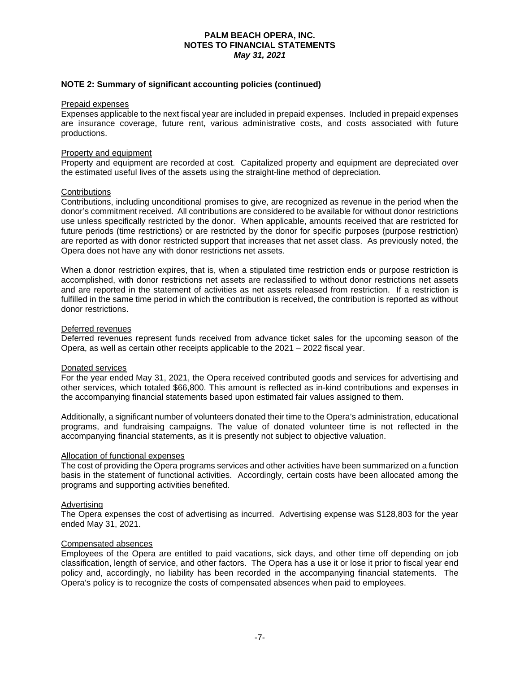#### **NOTE 2: Summary of significant accounting policies (continued)**

#### Prepaid expenses

Expenses applicable to the next fiscal year are included in prepaid expenses. Included in prepaid expenses are insurance coverage, future rent, various administrative costs, and costs associated with future productions.

#### Property and equipment

Property and equipment are recorded at cost. Capitalized property and equipment are depreciated over the estimated useful lives of the assets using the straight-line method of depreciation.

#### **Contributions**

Contributions, including unconditional promises to give, are recognized as revenue in the period when the donor's commitment received. All contributions are considered to be available for without donor restrictions use unless specifically restricted by the donor. When applicable, amounts received that are restricted for future periods (time restrictions) or are restricted by the donor for specific purposes (purpose restriction) are reported as with donor restricted support that increases that net asset class. As previously noted, the Opera does not have any with donor restrictions net assets.

When a donor restriction expires, that is, when a stipulated time restriction ends or purpose restriction is accomplished, with donor restrictions net assets are reclassified to without donor restrictions net assets and are reported in the statement of activities as net assets released from restriction. If a restriction is fulfilled in the same time period in which the contribution is received, the contribution is reported as without donor restrictions.

#### Deferred revenues

Deferred revenues represent funds received from advance ticket sales for the upcoming season of the Opera, as well as certain other receipts applicable to the 2021 – 2022 fiscal year.

#### Donated services

For the year ended May 31, 2021, the Opera received contributed goods and services for advertising and other services, which totaled \$66,800. This amount is reflected as in-kind contributions and expenses in the accompanying financial statements based upon estimated fair values assigned to them.

Additionally, a significant number of volunteers donated their time to the Opera's administration, educational programs, and fundraising campaigns. The value of donated volunteer time is not reflected in the accompanying financial statements, as it is presently not subject to objective valuation.

## Allocation of functional expenses

The cost of providing the Opera programs services and other activities have been summarized on a function basis in the statement of functional activities. Accordingly, certain costs have been allocated among the programs and supporting activities benefited.

#### Advertising

The Opera expenses the cost of advertising as incurred. Advertising expense was \$128,803 for the year ended May 31, 2021.

#### Compensated absences

Employees of the Opera are entitled to paid vacations, sick days, and other time off depending on job classification, length of service, and other factors. The Opera has a use it or lose it prior to fiscal year end policy and, accordingly, no liability has been recorded in the accompanying financial statements. The Opera's policy is to recognize the costs of compensated absences when paid to employees.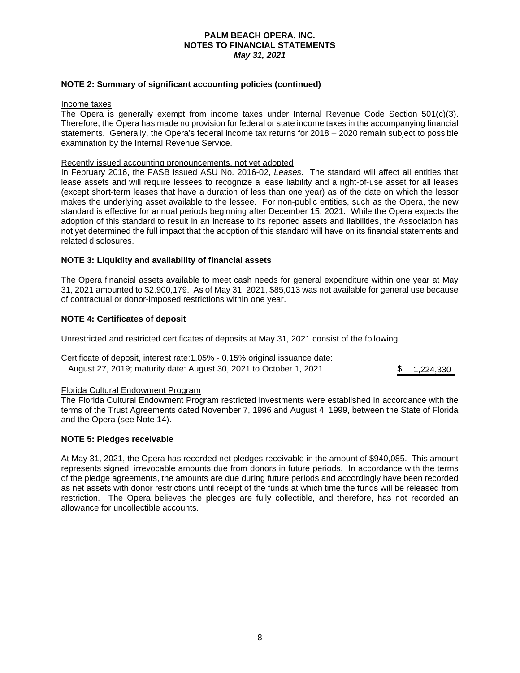#### **NOTE 2: Summary of significant accounting policies (continued)**

#### Income taxes

The Opera is generally exempt from income taxes under Internal Revenue Code Section 501(c)(3). Therefore, the Opera has made no provision for federal or state income taxes in the accompanying financial statements. Generally, the Opera's federal income tax returns for 2018 – 2020 remain subject to possible examination by the Internal Revenue Service.

#### Recently issued accounting pronouncements, not yet adopted

In February 2016, the FASB issued ASU No. 2016-02, *Leases*. The standard will affect all entities that lease assets and will require lessees to recognize a lease liability and a right-of-use asset for all leases (except short-term leases that have a duration of less than one year) as of the date on which the lessor makes the underlying asset available to the lessee. For non-public entities, such as the Opera, the new standard is effective for annual periods beginning after December 15, 2021. While the Opera expects the adoption of this standard to result in an increase to its reported assets and liabilities, the Association has not yet determined the full impact that the adoption of this standard will have on its financial statements and related disclosures.

#### **NOTE 3: Liquidity and availability of financial assets**

The Opera financial assets available to meet cash needs for general expenditure within one year at May 31, 2021 amounted to \$2,900,179. As of May 31, 2021, \$85,013 was not available for general use because of contractual or donor-imposed restrictions within one year.

#### **NOTE 4: Certificates of deposit**

Unrestricted and restricted certificates of deposits at May 31, 2021 consist of the following:

| Certificate of deposit, interest rate: 1.05% - 0.15% original issuance date: |              |
|------------------------------------------------------------------------------|--------------|
| August 27, 2019; maturity date: August 30, 2021 to October 1, 2021           | \$ 1,224,330 |

#### Florida Cultural Endowment Program

The Florida Cultural Endowment Program restricted investments were established in accordance with the terms of the Trust Agreements dated November 7, 1996 and August 4, 1999, between the State of Florida and the Opera (see Note 14).

#### **NOTE 5: Pledges receivable**

At May 31, 2021, the Opera has recorded net pledges receivable in the amount of \$940,085. This amount represents signed, irrevocable amounts due from donors in future periods. In accordance with the terms of the pledge agreements, the amounts are due during future periods and accordingly have been recorded as net assets with donor restrictions until receipt of the funds at which time the funds will be released from restriction. The Opera believes the pledges are fully collectible, and therefore, has not recorded an allowance for uncollectible accounts.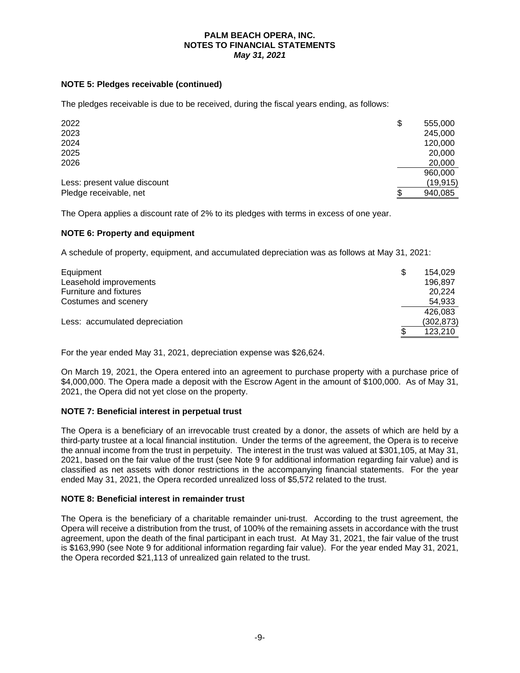## **NOTE 5: Pledges receivable (continued)**

The pledges receivable is due to be received, during the fiscal years ending, as follows:

| 2022                         | \$<br>555,000 |
|------------------------------|---------------|
| 2023                         | 245,000       |
| 2024                         | 120,000       |
| 2025                         | 20,000        |
| 2026                         | 20,000        |
|                              | 960,000       |
| Less: present value discount | (19, 915)     |
| Pledge receivable, net       | 940,085       |

The Opera applies a discount rate of 2% to its pledges with terms in excess of one year.

## **NOTE 6: Property and equipment**

A schedule of property, equipment, and accumulated depreciation was as follows at May 31, 2021:

| Equipment                      | S  | 154.029    |
|--------------------------------|----|------------|
| Leasehold improvements         |    | 196.897    |
| Furniture and fixtures         |    | 20.224     |
| Costumes and scenery           |    | 54,933     |
|                                |    | 426.083    |
| Less: accumulated depreciation |    | (302, 873) |
|                                | S. | 123.210    |

For the year ended May 31, 2021, depreciation expense was \$26,624.

On March 19, 2021, the Opera entered into an agreement to purchase property with a purchase price of \$4,000,000. The Opera made a deposit with the Escrow Agent in the amount of \$100,000. As of May 31, 2021, the Opera did not yet close on the property.

## **NOTE 7: Beneficial interest in perpetual trust**

The Opera is a beneficiary of an irrevocable trust created by a donor, the assets of which are held by a third-party trustee at a local financial institution. Under the terms of the agreement, the Opera is to receive the annual income from the trust in perpetuity. The interest in the trust was valued at \$301,105, at May 31, 2021, based on the fair value of the trust (see Note 9 for additional information regarding fair value) and is classified as net assets with donor restrictions in the accompanying financial statements. For the year ended May 31, 2021, the Opera recorded unrealized loss of \$5,572 related to the trust.

#### **NOTE 8: Beneficial interest in remainder trust**

The Opera is the beneficiary of a charitable remainder uni-trust. According to the trust agreement, the Opera will receive a distribution from the trust, of 100% of the remaining assets in accordance with the trust agreement, upon the death of the final participant in each trust. At May 31, 2021, the fair value of the trust is \$163,990 (see Note 9 for additional information regarding fair value). For the year ended May 31, 2021, the Opera recorded \$21,113 of unrealized gain related to the trust.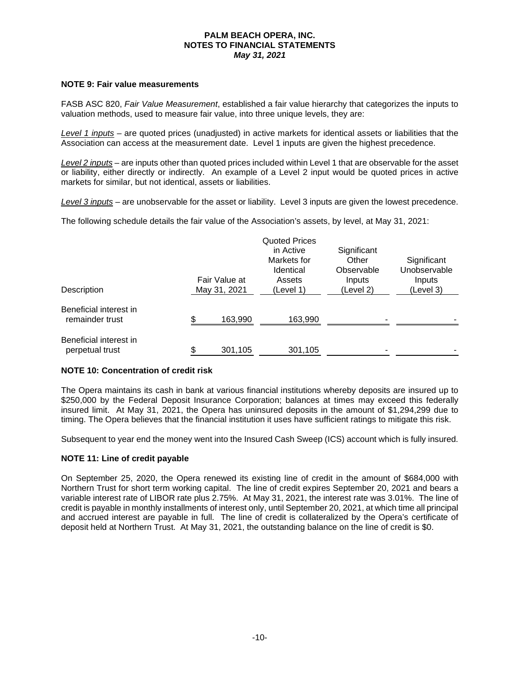#### **NOTE 9: Fair value measurements**

FASB ASC 820, *Fair Value Measurement*, established a fair value hierarchy that categorizes the inputs to valuation methods, used to measure fair value, into three unique levels, they are:

*Level 1 inputs* – are quoted prices (unadjusted) in active markets for identical assets or liabilities that the Association can access at the measurement date. Level 1 inputs are given the highest precedence.

*Level 2 inputs* – are inputs other than quoted prices included within Level 1 that are observable for the asset or liability, either directly or indirectly. An example of a Level 2 input would be quoted prices in active markets for similar, but not identical, assets or liabilities.

*Level 3 inputs* – are unobservable for the asset or liability. Level 3 inputs are given the lowest precedence.

The following schedule details the fair value of the Association's assets, by level, at May 31, 2021:

| Description                               | Fair Value at<br>May 31, 2021 | <b>Quoted Prices</b><br>in Active<br>Markets for<br>Identical<br>Assets<br>(Level 1) | Significant<br>Other<br>Observable<br>Inputs<br>(Level 2) | Significant<br>Unobservable<br>Inputs<br>(Level 3) |
|-------------------------------------------|-------------------------------|--------------------------------------------------------------------------------------|-----------------------------------------------------------|----------------------------------------------------|
| Beneficial interest in<br>remainder trust | 163,990                       | 163,990                                                                              |                                                           |                                                    |
| Beneficial interest in<br>perpetual trust | \$<br>301,105                 | 301,105                                                                              |                                                           |                                                    |

#### **NOTE 10: Concentration of credit risk**

The Opera maintains its cash in bank at various financial institutions whereby deposits are insured up to \$250,000 by the Federal Deposit Insurance Corporation; balances at times may exceed this federally insured limit. At May 31, 2021, the Opera has uninsured deposits in the amount of \$1,294,299 due to timing. The Opera believes that the financial institution it uses have sufficient ratings to mitigate this risk.

Subsequent to year end the money went into the Insured Cash Sweep (ICS) account which is fully insured.

#### **NOTE 11: Line of credit payable**

On September 25, 2020, the Opera renewed its existing line of credit in the amount of \$684,000 with Northern Trust for short term working capital. The line of credit expires September 20, 2021 and bears a variable interest rate of LIBOR rate plus 2.75%. At May 31, 2021, the interest rate was 3.01%. The line of credit is payable in monthly installments of interest only, until September 20, 2021, at which time all principal and accrued interest are payable in full. The line of credit is collateralized by the Opera's certificate of deposit held at Northern Trust. At May 31, 2021, the outstanding balance on the line of credit is \$0.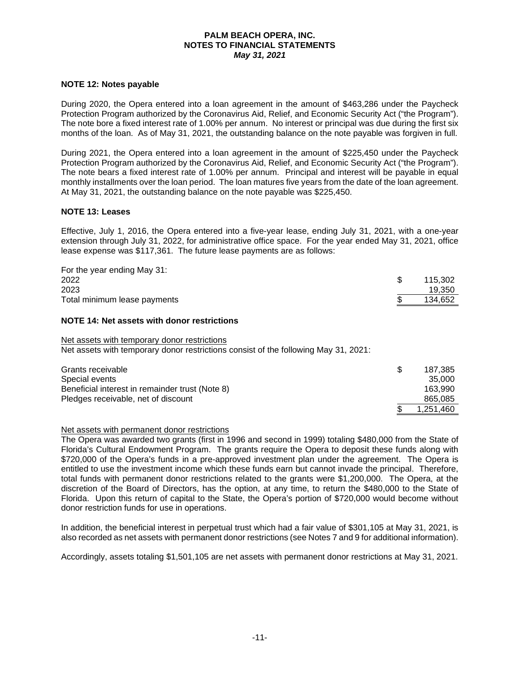#### **NOTE 12: Notes payable**

During 2020, the Opera entered into a loan agreement in the amount of \$463,286 under the Paycheck Protection Program authorized by the Coronavirus Aid, Relief, and Economic Security Act ("the Program"). The note bore a fixed interest rate of 1.00% per annum. No interest or principal was due during the first six months of the loan. As of May 31, 2021, the outstanding balance on the note payable was forgiven in full.

During 2021, the Opera entered into a loan agreement in the amount of \$225,450 under the Paycheck Protection Program authorized by the Coronavirus Aid, Relief, and Economic Security Act ("the Program"). The note bears a fixed interest rate of 1.00% per annum. Principal and interest will be payable in equal monthly installments over the loan period. The loan matures five years from the date of the loan agreement. At May 31, 2021, the outstanding balance on the note payable was \$225,450.

#### **NOTE 13: Leases**

Effective, July 1, 2016, the Opera entered into a five-year lease, ending July 31, 2021, with a one-year extension through July 31, 2022, for administrative office space. For the year ended May 31, 2021, office lease expense was \$117,361. The future lease payments are as follows:

| For the year ending May 31:                                                                                                         |    |         |
|-------------------------------------------------------------------------------------------------------------------------------------|----|---------|
| 2022                                                                                                                                | \$ | 115,302 |
| 2023                                                                                                                                |    | 19,350  |
| Total minimum lease payments                                                                                                        |    | 134,652 |
| NOTE 14: Net assets with donor restrictions                                                                                         |    |         |
| Net assets with temporary donor restrictions<br>Net assets with temporary donor restrictions consist of the following May 31, 2021: |    |         |
| Grants receivable                                                                                                                   | S  | 187.385 |

| Giants receivable                               | 107.309   |
|-------------------------------------------------|-----------|
| Special events                                  | 35,000    |
| Beneficial interest in remainder trust (Note 8) | 163.990   |
| Pledges receivable, net of discount             | 865,085   |
|                                                 | 1.251.460 |

Net assets with permanent donor restrictions

The Opera was awarded two grants (first in 1996 and second in 1999) totaling \$480,000 from the State of Florida's Cultural Endowment Program. The grants require the Opera to deposit these funds along with \$720,000 of the Opera's funds in a pre-approved investment plan under the agreement. The Opera is entitled to use the investment income which these funds earn but cannot invade the principal. Therefore, total funds with permanent donor restrictions related to the grants were \$1,200,000. The Opera, at the discretion of the Board of Directors, has the option, at any time, to return the \$480,000 to the State of Florida. Upon this return of capital to the State, the Opera's portion of \$720,000 would become without donor restriction funds for use in operations.

In addition, the beneficial interest in perpetual trust which had a fair value of \$301,105 at May 31, 2021, is also recorded as net assets with permanent donor restrictions (see Notes 7 and 9 for additional information).

Accordingly, assets totaling \$1,501,105 are net assets with permanent donor restrictions at May 31, 2021.